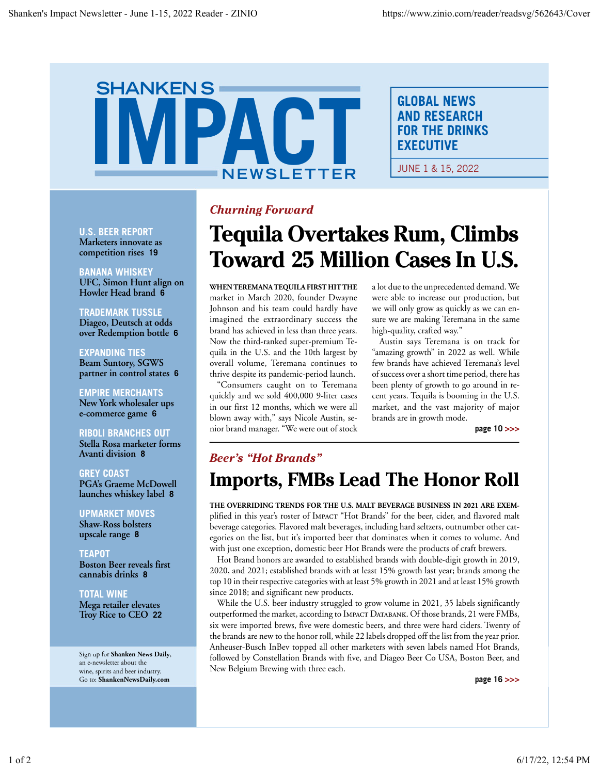# **SHANKENS** IC<sup>-</sup> IPA **NEWSLETTER**

**GLOBAL NEWS AND RESEARCH FOR THE DRINKS EXECUTIVE** 

JUNE 1 & 15, 2022

## **U.S. BEER REPORT**

Marketers innovate as competition rises 19

**BANANA WHISKEY** UFC, Simon Hunt align on Howler Head brand 6

### **TRADEMARK TUSSLE**

Diageo, Deutsch at odds over Redemption bottle 6

**EXPANDING TIES Beam Suntory, SGWS** partner in control states 6

**EMPIRE MERCHANTS** New York wholesaler ups e-commerce game 6

## **RIBOLI BRANCHES OUT**

Stella Rosa marketer forms Avanti division 8

**GREY COAST** PGA's Graeme McDowell launches whiskey label 8

**UPMARKET MOVES Shaw-Ross bolsters** upscale range 8

### TEAPOT **Boston Beer reveals first** cannabis drinks 8

**TOTAL WINE** 

Mega retailer elevates Troy Rice to CEO 22

Sign up for Shanken News Daily, an e-newsletter about the wine, spirits and beer industry. Go to: ShankenNewsDaily.com

# **Churning Forward**

# **Tequila Overtakes Rum, Climbs Toward 25 Million Cases In U.S.**

WHEN TEREMANA TEQUILA FIRST HIT THE market in March 2020, founder Dwayne Johnson and his team could hardly have imagined the extraordinary success the brand has achieved in less than three years. Now the third-ranked super-premium Tequila in the U.S. and the 10th largest by overall volume, Teremana continues to thrive despite its pandemic-period launch.

"Consumers caught on to Teremana quickly and we sold 400,000 9-liter cases in our first 12 months, which we were all blown away with," says Nicole Austin, senior brand manager. "We were out of stock a lot due to the unprecedented demand. We were able to increase our production, but we will only grow as quickly as we can ensure we are making Teremana in the same high-quality, crafted way."

Austin says Teremana is on track for "amazing growth" in 2022 as well. While few brands have achieved Teremana's level of success over a short time period, there has been plenty of growth to go around in recent years. Tequila is booming in the U.S. market, and the vast majority of major brands are in growth mode.

page 10 >>>

# **Beer's "Hot Brands" Imports, FMBs Lead The Honor Roll**

THE OVERRIDING TRENDS FOR THE U.S. MALT BEVERAGE BUSINESS IN 2021 ARE EXEMplified in this year's roster of IMPACT "Hot Brands" for the beer, cider, and flavored malt beverage categories. Flavored malt beverages, including hard seltzers, outnumber other categories on the list, but it's imported beer that dominates when it comes to volume. And with just one exception, domestic beer Hot Brands were the products of craft brewers.

Hot Brand honors are awarded to established brands with double-digit growth in 2019, 2020, and 2021; established brands with at least 15% growth last year; brands among the top 10 in their respective categories with at least 5% growth in 2021 and at least 15% growth since 2018; and significant new products.

While the U.S. beer industry struggled to grow volume in 2021, 35 labels significantly outperformed the market, according to IMPACT DATABANK. Of those brands, 21 were FMBs, six were imported brews, five were domestic beers, and three were hard ciders. Twenty of the brands are new to the honor roll, while 22 labels dropped off the list from the year prior. Anheuser-Busch InBev topped all other marketers with seven labels named Hot Brands, followed by Constellation Brands with five, and Diageo Beer Co USA, Boston Beer, and New Belgium Brewing with three each.

page 16 >>>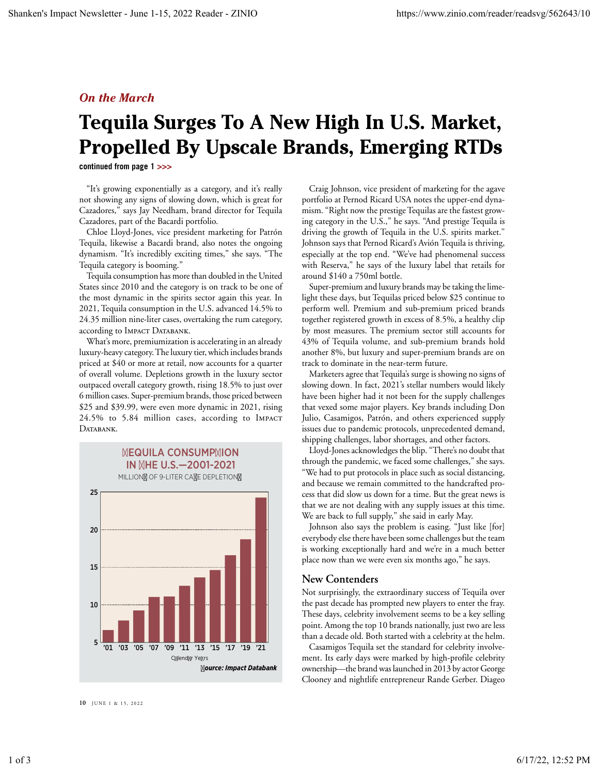# **On the March**

# Tequila Surges To A New High In U.S. Market, **Propelled By Upscale Brands, Emerging RTDs**

continued from page 1 >>>

"It's growing exponentially as a category, and it's really not showing any signs of slowing down, which is great for Cazadores," says Jay Needham, brand director for Tequila Cazadores, part of the Bacardi portfolio.

Chloe Lloyd-Jones, vice president marketing for Patrón Tequila, likewise a Bacardi brand, also notes the ongoing dynamism. "It's incredibly exciting times," she says. "The Tequila category is booming."

Tequila consumption has more than doubled in the United States since 2010 and the category is on track to be one of the most dynamic in the spirits sector again this year. In 2021, Tequila consumption in the U.S. advanced 14.5% to 24.35 million nine-liter cases, overtaking the rum category, according to IMPACT DATABANK.

What's more, premiumization is accelerating in an already luxury-heavy category. The luxury tier, which includes brands priced at \$40 or more at retail, now accounts for a quarter of overall volume. Depletions growth in the luxury sector outpaced overall category growth, rising 18.5% to just over 6 million cases. Super-premium brands, those priced between \$25 and \$39.99, were even more dynamic in 2021, rising 24.5% to 5.84 million cases, according to IMPACT DATABANK.



10 **IUNE 1 & 15, 2022** 

Craig Johnson, vice president of marketing for the agave portfolio at Pernod Ricard USA notes the upper-end dynamism. "Right now the prestige Tequilas are the fastest growing category in the U.S.," he says. "And prestige Tequila is driving the growth of Tequila in the U.S. spirits market." Johnson says that Pernod Ricard's Avión Tequila is thriving, especially at the top end. "We've had phenomenal success with Reserva," he says of the luxury label that retails for around \$140 a 750ml bottle.

Super-premium and luxury brands may be taking the limelight these days, but Tequilas priced below \$25 continue to perform well. Premium and sub-premium priced brands together registered growth in excess of 8.5%, a healthy clip by most measures. The premium sector still accounts for 43% of Tequila volume, and sub-premium brands hold another 8%, but luxury and super-premium brands are on track to dominate in the near-term future.

Marketers agree that Tequila's surge is showing no signs of slowing down. In fact, 2021's stellar numbers would likely have been higher had it not been for the supply challenges that vexed some major players. Key brands including Don Julio, Casamigos, Patrón, and others experienced supply issues due to pandemic protocols, unprecedented demand, shipping challenges, labor shortages, and other factors.

Lloyd-Jones acknowledges the blip. "There's no doubt that through the pandemic, we faced some challenges," she says. "We had to put protocols in place such as social distancing, and because we remain committed to the handcrafted process that did slow us down for a time. But the great news is that we are not dealing with any supply issues at this time. We are back to full supply," she said in early May.

Johnson also says the problem is easing. "Just like [for] everybody else there have been some challenges but the team is working exceptionally hard and we're in a much better place now than we were even six months ago," he says.

### **New Contenders**

Not surprisingly, the extraordinary success of Tequila over the past decade has prompted new players to enter the fray. These days, celebrity involvement seems to be a key selling point. Among the top 10 brands nationally, just two are less than a decade old. Both started with a celebrity at the helm.

Casamigos Tequila set the standard for celebrity involvement. Its early days were marked by high-profile celebrity ownership—the brand was launched in 2013 by actor George Clooney and nightlife entrepreneur Rande Gerber. Diageo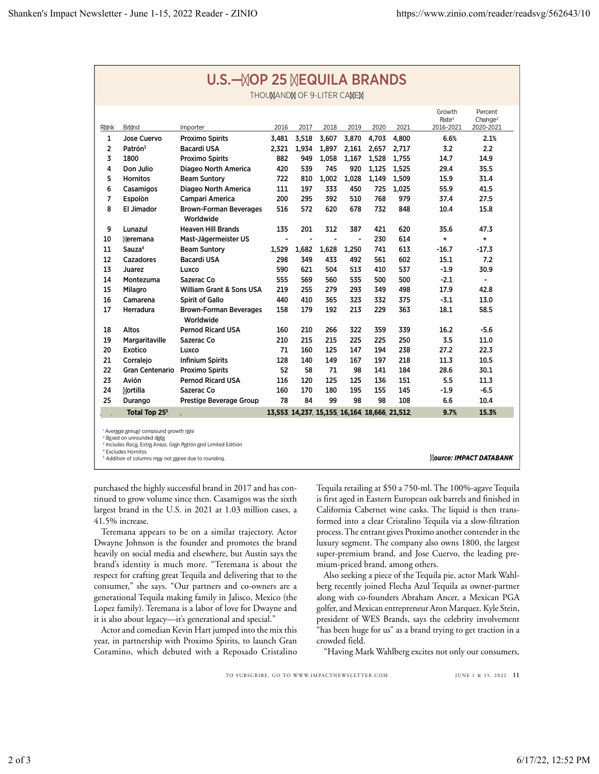| U.S.— OP 25 EQUILA BRANDS                                                 |                           |                                            |                |       |       |       |                                           |       |                                            |                                   |
|---------------------------------------------------------------------------|---------------------------|--------------------------------------------|----------------|-------|-------|-------|-------------------------------------------|-------|--------------------------------------------|-----------------------------------|
| THOU AND OF 9-LITER CA E                                                  |                           |                                            |                |       |       |       |                                           |       |                                            |                                   |
| R nk                                                                      | Br nd                     | Importer                                   | 2016           | 2017  | 2018  | 2019  | 2020                                      | 2021  | Growth<br>$R$ te <sup>1</sup><br>2016-2021 | Percent<br>Ch $nge2$<br>2020-2021 |
| 1                                                                         | Jose Cuervo               | <b>Proximo Spirits</b>                     | 3.481          | 3,518 | 3.607 | 3.870 | 4.703                                     | 4.800 | 6.6%                                       | 2.1%                              |
| $\overline{2}$                                                            | Patrón <sup>3</sup>       | Bacardi USA                                | 2,321          | 1,934 | 1,897 | 2,161 | 2,657                                     | 2,717 | 3.2                                        | 2.2                               |
| 3                                                                         | 1800                      | <b>Proximo Spirits</b>                     | 882            | 949   | 1.058 | 1.167 | 1.528                                     | 1.755 | 14.7                                       | 14.9                              |
| 4                                                                         | Don Julio                 | Diageo North America                       | 420            | 539   | 745   | 920   | 1,125                                     | 1,525 | 29.4                                       | 35.5                              |
| 5                                                                         | <b>Hornitos</b>           | <b>Beam Suntory</b>                        | 722            | 810   | 1,002 | 1,028 | 1,149                                     | 1,509 | 15.9                                       | 31.4                              |
| 6                                                                         | Casamigos                 | Diageo North America                       | 111            | 197   | 333   | 450   | 725                                       | 1.025 | 55.9                                       | 41.5                              |
| $\overline{7}$                                                            | Espolòn                   | Campari America                            | 200            | 295   | 392   | 510   | 768                                       | 979   | 37.4                                       | 27.5                              |
| 8                                                                         | El Jimador                | <b>Brown-Forman Beverages</b><br>Worldwide | 516            | 572   | 620   | 678   | 732                                       | 848   | 10.4                                       | 15.8                              |
| 9                                                                         | Lunazul                   | <b>Heaven Hill Brands</b>                  | 135            | 201   | 312   | 387   | 421                                       | 620   | 35.6                                       | 47.3                              |
| 10                                                                        | eremana                   | Mast-Jägermeister US                       | $\blacksquare$ | ÷,    | ÷,    | ÷,    | 230                                       | 614   | $\ddot{}$                                  | $\ddot{}$                         |
| 11                                                                        | Sauza <sup>4</sup>        | <b>Beam Suntory</b>                        | 1,529          | 1,682 | 1,628 | 1,250 | 741                                       | 613   | $-16.7$                                    | $-17.3$                           |
| 12                                                                        | Cazadores                 | <b>Bacardi USA</b>                         | 298            | 349   | 433   | 492   | 561                                       | 602   | 15.1                                       | 7.2                               |
| 13                                                                        | Juarez                    | Luxco                                      | 590            | 621   | 504   | 513   | 410                                       | 537   | $-1.9$                                     | 30.9                              |
| 14                                                                        | Montezuma                 | Sazerac Co                                 | 555            | 569   | 560   | 535   | 500                                       | 500   | $-2.1$                                     | $\blacksquare$                    |
| 15                                                                        | Milagro                   | <b>William Grant &amp; Sons USA</b>        | 219            | 255   | 279   | 293   | 349                                       | 498   | 17.9                                       | 42.8                              |
| 16                                                                        | Camarena                  | <b>Spirit of Gallo</b>                     | 440            | 410   | 365   | 323   | 332                                       | 375   | $-3.1$                                     | 13.0                              |
| 17                                                                        | Herradura                 | <b>Brown-Forman Beverages</b><br>Worldwide | 158            | 179   | 192   | 213   | 229                                       | 363   | 18.1                                       | 58.5                              |
| 18                                                                        | Altos                     | <b>Pernod Ricard USA</b>                   | 160            | 210   | 266   | 322   | 359                                       | 339   | 16.2                                       | $-5.6$                            |
| 19                                                                        | Margaritaville            | Sazerac Co                                 | 210            | 215   | 215   | 225   | 225                                       | 250   | 3.5                                        | 11.0                              |
| 20                                                                        | Exotico                   | Luxco                                      | 71             | 160   | 125   | 147   | 194                                       | 238   | 27.2                                       | 22.3                              |
| 21                                                                        | Corraleio                 | <b>Infinium Spirits</b>                    | 128            | 140   | 149   | 167   | 197                                       | 218   | 11.3                                       | 10.5                              |
| 22                                                                        | Gran Centenario           | <b>Proximo Spirits</b>                     | 52             | 58    | 71    | 98    | 141                                       | 184   | 28.6                                       | 30.1                              |
| 23                                                                        | Avión                     | <b>Pernod Ricard USA</b>                   | 116            | 120   | 125   | 125   | 136                                       | 151   | 5.5                                        | 11.3                              |
| 24                                                                        | ortilla                   | Sazerac Co                                 | 160            | 170   | 180   | 195   | 155                                       | 145   | $-1.9$                                     | $-6.5$                            |
| 25                                                                        | Durango                   | Prestige Beverage Group                    | 78             | 84    | 99    | 98    | 98                                        | 108   | 6.6                                        | 10.4                              |
|                                                                           | Total Top 25 <sup>5</sup> |                                            |                |       |       |       | 13,553 14,237 15,155 16,164 18,666 21,512 |       | 9.7%                                       | 15.3%                             |
| Aver ge nnu I compound growth r te<br><sup>2</sup> B sed on unrounded d t |                           |                                            |                |       |       |       |                                           |       |                                            |                                   |

Includes Roc , Extr Anejo, Gr n P trón nd Limited Edition <sup>4</sup> Excludes Hornitos

<sup>5</sup> Addition of columns m y not gree due to rounding.

ource: IMPACT DATABANK

purchased the highly successful brand in 2017 and has continued to grow volume since then. Casamigos was the sixth largest brand in the U.S. in 2021 at 1.03 million cases, a 41.5% increase.

Teremana appears to be on a similar trajectory. Actor Dwayne Johnson is the founder and promotes the brand heavily on social media and elsewhere, but Austin says the brand's identity is much more. "Teremana is about the respect for crafting great Tequila and delivering that to the consumer," she says. "Our partners and co-owners are a generational Tequila making family in Jalisco, Mexico (the Lopez family). Teremana is a labor of love for Dwayne and it is also about legacy—it's generational and special."

Actor and comedian Kevin Hart jumped into the mix this year, in partnership with Proximo Spirits, to launch Gran Coramino, which debuted with a Reposado Cristalino

Tequila retailing at \$50 a 750-ml. The 100%-agave Tequila is first aged in Eastern European oak barrels and finished in California Cabernet wine casks. The liquid is then transformed into a clear Cristalino Tequila via a slow-filtration process. The entrant gives Proximo another contender in the luxury segment. The company also owns 1800, the largest super-premium brand, and Jose Cuervo, the leading premium-priced brand, among others.

Also seeking a piece of the Tequila pie, actor Mark Wahlberg recently joined Flecha Azul Tequila as owner-partner along with co-founders Abraham Ancer, a Mexican PGA golfer, and Mexican entrepreneur Aron Marquez. Kyle Stein, president of WES Brands, says the celebrity involvement has been huge for us" as a brand trying to get traction in a crowded field.

"Having Mark Wahlberg excites not only our consumers,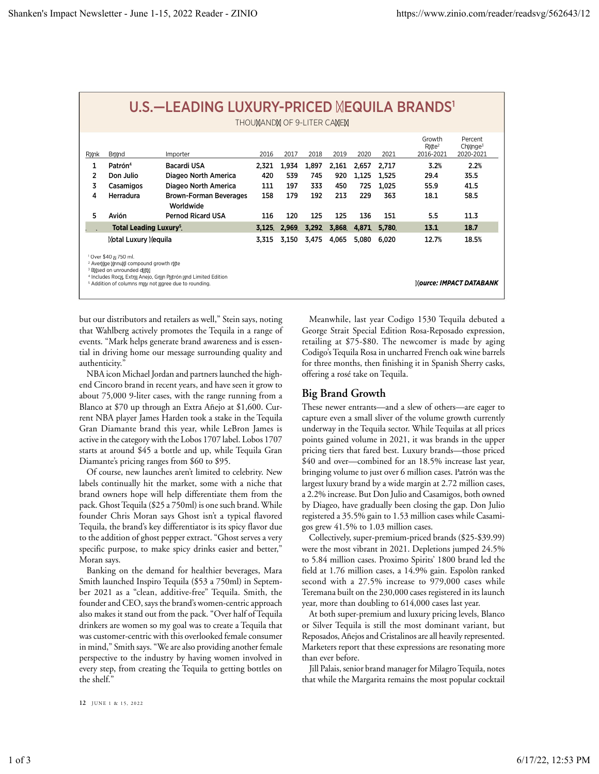| <u>U.S.—LEADING LUXURY-PRICED EQUILA BRANDS'</u><br>THOU AND OF 9-LITER CA E                                                                                                                                                                                                                  |                     |                                            |       |       |       |       |       |       |                                            |                                    |
|-----------------------------------------------------------------------------------------------------------------------------------------------------------------------------------------------------------------------------------------------------------------------------------------------|---------------------|--------------------------------------------|-------|-------|-------|-------|-------|-------|--------------------------------------------|------------------------------------|
| R nk                                                                                                                                                                                                                                                                                          | Br nd               | Importer                                   | 2016  | 2017  | 2018  | 2019  | 2020  | 2021  | Growth<br>$R$ te <sup>2</sup><br>2016-2021 | Percent<br>Ch $nqe^3$<br>2020-2021 |
| 1                                                                                                                                                                                                                                                                                             | Patrón <sup>4</sup> | Bacardi USA                                | 2,321 | 1,934 | 1,897 | 2,161 | 2,657 | 2,717 | 3.2%                                       | 2.2%                               |
| 2                                                                                                                                                                                                                                                                                             | Don Julio           | Diageo North America                       | 420   | 539   | 745   | 920   | 1,125 | 1.525 | 29.4                                       | 35.5                               |
| 3                                                                                                                                                                                                                                                                                             | Casamigos           | Diageo North America                       | 111   | 197   | 333   | 450   | 725   | 1.025 | 55.9                                       | 41.5                               |
| 4                                                                                                                                                                                                                                                                                             | Herradura           | <b>Brown-Forman Beverages</b><br>Worldwide | 158   | 179   | 192   | 213   | 229   | 363   | 18.1                                       | 58.5                               |
| 5                                                                                                                                                                                                                                                                                             | Avión               | <b>Pernod Ricard USA</b>                   | 116   | 120   | 125   | 125   | 136   | 151   | 5.5                                        | 11.3                               |
| <b>Total Leading Luxury<sup>5</sup></b>                                                                                                                                                                                                                                                       |                     | 3,125                                      | 2,969 | 3,292 | 3,868 | 4,871 | 5,780 | 13.1  | 18.7                                       |                                    |
| otal Luxury equila                                                                                                                                                                                                                                                                            |                     |                                            | 3.315 | 3.150 | 3,475 | 4,065 | 5,080 | 6.020 | 12.7%                                      | 18.5%                              |
| <sup>1</sup> Over \$40 750 ml.<br><sup>2</sup> Aver ge nnu I compound growth r te<br><sup>3</sup> B sed on unrounded d t<br><sup>4</sup> Includes Roc, Extr Anejo, Gr n P trón nd Limited Edition<br>ource: IMPACT DATABANK<br><sup>5</sup> Addition of columns m v not aree due to rounding. |                     |                                            |       |       |       |       |       |       |                                            |                                    |

but our distributors and retailers as well," Stein says, noting that Wahlberg actively promotes the Tequila in a range of events. "Mark helps generate brand awareness and is essential in driving home our message surrounding quality and authenticity."

NBA icon Michael Jordan and partners launched the highend Cincoro brand in recent years, and have seen it grow to about 75,000 9-liter cases, with the range running from a Blanco at \$70 up through an Extra Añejo at \$1,600. Current NBA player James Harden took a stake in the Tequila Gran Diamante brand this year, while LeBron James is active in the category with the Lobos 1707 label. Lobos 1707 starts at around \$45 a bottle and up, while Tequila Gran Diamante's pricing ranges from \$60 to \$95.

Of course, new launches aren't limited to celebrity. New labels continually hit the market, some with a niche that brand owners hope will help differentiate them from the pack. Ghost Tequila (\$25 a 750ml) is one such brand. While founder Chris Moran says Ghost isn't a typical flavored Tequila, the brand's key differentiator is its spicy flavor due to the addition of ghost pepper extract. "Ghost serves a very specific purpose, to make spicy drinks easier and better," Moran says.

Banking on the demand for healthier beverages, Mara Smith launched Inspiro Tequila (\$53 a 750ml) in September 2021 as a "clean, additive-free" Tequila. Smith, the founder and CEO, says the brand's women-centric approach also makes it stand out from the pack. "Over half of Tequila drinkers are women so my goal was to create a Tequila that was customer-centric with this overlooked female consumer in mind," Smith says. "We are also providing another female perspective to the industry by having women involved in every step, from creating the Tequila to getting bottles on the shelf."

Meanwhile, last year Codigo 1530 Tequila debuted a George Strait Special Edition Rosa-Reposado expression, retailing at \$75-\$80. The newcomer is made by aging Codigo's Tequila Rosa in uncharred French oak wine barrels for three months, then finishing it in Spanish Sherry casks, offering a rosé take on Tequila.

## **Big Brand Growth**

These newer entrants—and a slew of others—are eager to capture even a small sliver of the volume growth currently underway in the Tequila sector. While Tequilas at all prices points gained volume in 2021, it was brands in the upper pricing tiers that fared best. Luxury brands—those priced \$40 and over-combined for an 18.5% increase last year, bringing volume to just over 6 million cases. Patrón was the largest luxury brand by a wide margin at 2.72 million cases, a 2.2% increase. But Don Julio and Casamigos, both owned by Diageo, have gradually been closing the gap. Don Julio registered a 35.5% gain to 1.53 million cases while Casamigos grew 41.5% to 1.03 million cases.

Collectively, super-premium-priced brands (\$25-\$39.99) were the most vibrant in 2021. Depletions jumped 24.5% to 5.84 million cases. Proximo Spirits' 1800 brand led the field at 1.76 million cases, a 14.9% gain. Espolòn ranked second with a 27.5% increase to 979,000 cases while Teremana built on the 230,000 cases registered in its launch year, more than doubling to 614,000 cases last year.

At both super-premium and luxury pricing levels, Blanco or Silver Tequila is still the most dominant variant, but Reposados, Añejos and Cristalinos are all heavily represented. Marketers report that these expressions are resonating more than ever before.

Jill Palais, senior brand manager for Milagro Tequila, notes that while the Margarita remains the most popular cocktail

12 IUNE 1 & 15, 2022